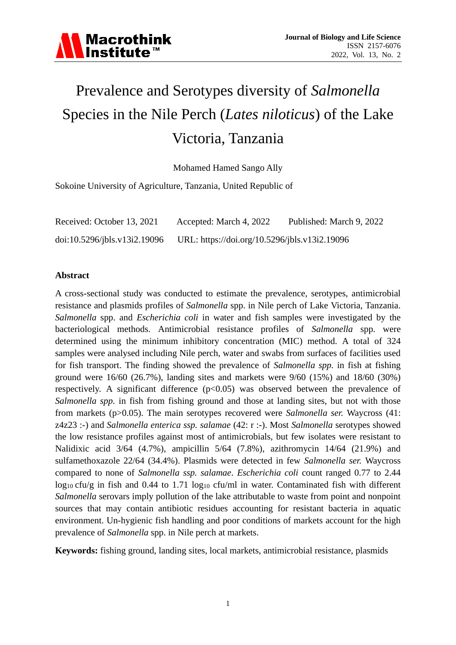

# Prevalence and Serotypes diversity of *Salmonella* Species in the Nile Perch (*Lates niloticus*) of the Lake Victoria, Tanzania

Mohamed Hamed Sango Ally

Sokoine University of Agriculture, Tanzania, United Republic of

| Received: October 13, 2021   | Accepted: March 4, 2022                       | Published: March 9, 2022 |
|------------------------------|-----------------------------------------------|--------------------------|
| doi:10.5296/jbls.v13i2.19096 | URL: https://doi.org/10.5296/jbls.v13i2.19096 |                          |

#### **Abstract**

A cross-sectional study was conducted to estimate the prevalence, serotypes, antimicrobial resistance and plasmids profiles of *Salmonella* spp. in Nile perch of Lake Victoria, Tanzania. *Salmonella* spp. and *Escherichia coli* in water and fish samples were investigated by the bacteriological methods. Antimicrobial resistance profiles of *Salmonella* spp. were determined using the minimum inhibitory concentration (MIC) method. A total of 324 samples were analysed including Nile perch, water and swabs from surfaces of facilities used for fish transport. The finding showed the prevalence of *Salmonella spp.* in fish at fishing ground were 16/60 (26.7%), landing sites and markets were 9/60 (15%) and 18/60 (30%) respectively. A significant difference  $(p<0.05)$  was observed between the prevalence of *Salmonella spp.* in fish from fishing ground and those at landing sites, but not with those from markets (p>0.05). The main serotypes recovered were *Salmonella ser.* Waycross (41: z4z23 :-) and *Salmonella enterica ssp. salamae* (42: r :-). Most *Salmonella* serotypes showed the low resistance profiles against most of antimicrobials, but few isolates were resistant to Nalidixic acid 3/64 (4.7%), ampicillin 5/64 (7.8%), azithromycin 14/64 (21.9%) and sulfamethoxazole 22/64 (34.4%). Plasmids were detected in few *Salmonella ser.* Waycross compared to none of *Salmonella ssp. salamae*. *Escherichia coli* count ranged 0.77 to 2.44 log<sub>10</sub> cfu/g in fish and 0.44 to 1.71 log<sub>10</sub> cfu/ml in water. Contaminated fish with different *Salmonella* serovars imply pollution of the lake attributable to waste from point and nonpoint sources that may contain antibiotic residues accounting for resistant bacteria in aquatic environment. Un-hygienic fish handling and poor conditions of markets account for the high prevalence of *Salmonella* spp. in Nile perch at markets.

**Keywords:** fishing ground, landing sites, local markets, antimicrobial resistance, plasmids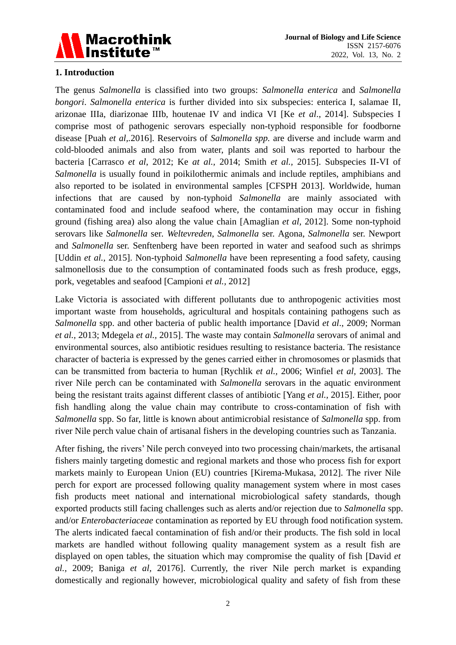

# **1. Introduction**

The genus *Salmonella* is classified into two groups: *Salmonella enterica* and *Salmonella bongori*. *Salmonella enterica* is further divided into six subspecies: enterica I, salamae II, arizonae IIIa, diarizonae IIIb, houtenae IV and indica VI [Ke *et al*., 2014]. Subspecies I comprise most of pathogenic serovars especially non-typhoid responsible for foodborne disease [Puah *et al,.*2016]. Reservoirs of *Salmonella spp.* are diverse and include warm and cold-blooded animals and also from water, plants and soil was reported to harbour the bacteria [Carrasco *et al*, 2012; Ke *at al.,* 2014; Smith *et al.,* 2015]. Subspecies II-VI of *Salmonella* is usually found in poikilothermic animals and include reptiles, amphibians and also reported to be isolated in environmental samples [CFSPH 2013]. Worldwide, human infections that are caused by non-typhoid *Salmonella* are mainly associated with contaminated food and include seafood where, the contamination may occur in fishing ground (fishing area) also along the value chain [Amaglian *et al,* 2012]. Some non-typhoid serovars like *Salmonella* ser*. Weltevreden*, *Salmonella* ser. Agona, *Salmonella* ser. Newport and *Salmonella* ser. Senftenberg have been reported in water and seafood such as shrimps [Uddin *et al.,* 2015]. Non-typhoid *Salmonella* have been representing a food safety, causing salmonellosis due to the consumption of contaminated foods such as fresh produce, eggs, pork, vegetables and seafood [Campioni *et al.,* 2012]

Lake Victoria is associated with different pollutants due to anthropogenic activities most important waste from households, agricultural and hospitals containing pathogens such as *Salmonella* spp. and other bacteria of public health importance [David *et al*., 2009; Norman *et al.,* 2013; Mdegela *et al.,* 2015]. The waste may contain *Salmonella* serovars of animal and environmental sources, also antibiotic residues resulting to resistance bacteria. The resistance character of bacteria is expressed by the genes carried either in chromosomes or plasmids that can be transmitted from bacteria to human [Rychlik *et al.,* 2006; Winfiel *et al,* 2003]. The river Nile perch can be contaminated with *Salmonella* serovars in the aquatic environment being the resistant traits against different classes of antibiotic [Yang *et al.,* 2015]. Either, poor fish handling along the value chain may contribute to cross-contamination of fish with *Salmonella* spp. So far, little is known about antimicrobial resistance of *Salmonella* spp. from river Nile perch value chain of artisanal fishers in the developing countries such as Tanzania.

After fishing, the rivers' Nile perch conveyed into two processing chain/markets, the artisanal fishers mainly targeting domestic and regional markets and those who process fish for export markets mainly to European Union (EU) countries [Kirema-Mukasa, 2012]. The river Nile perch for export are processed following quality management system where in most cases fish products meet national and international microbiological safety standards, though exported products still facing challenges such as alerts and/or rejection due to *Salmonella* spp. and/or *Enterobacteriaceae* contamination as reported by EU through food notification system. The alerts indicated faecal contamination of fish and/or their products. The fish sold in local markets are handled without following quality management system as a result fish are displayed on open tables, the situation which may compromise the quality of fish [David *et al.,* 2009; Baniga *et al,* 20176]. Currently, the river Nile perch market is expanding domestically and regionally however, microbiological quality and safety of fish from these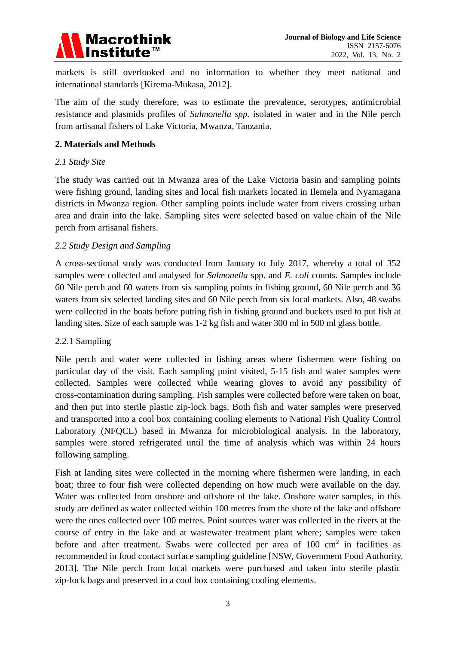

markets is still overlooked and no information to whether they meet national and international standards [Kirema-Mukasa, 2012].

The aim of the study therefore, was to estimate the prevalence, serotypes, antimicrobial resistance and plasmids profiles of *Salmonella spp.* isolated in water and in the Nile perch from artisanal fishers of Lake Victoria, Mwanza, Tanzania.

#### **2. Materials and Methods**

#### *2.1 Study Site*

The study was carried out in Mwanza area of the Lake Victoria basin and sampling points were fishing ground, landing sites and local fish markets located in Ilemela and Nyamagana districts in Mwanza region. Other sampling points include water from rivers crossing urban area and drain into the lake. Sampling sites were selected based on value chain of the Nile perch from artisanal fishers.

#### *2.2 Study Design and Sampling*

A cross-sectional study was conducted from January to July 2017, whereby a total of 352 samples were collected and analysed for *Salmonella* spp. and *E. coli* counts. Samples include 60 Nile perch and 60 waters from six sampling points in fishing ground, 60 Nile perch and 36 waters from six selected landing sites and 60 Nile perch from six local markets. Also, 48 swabs were collected in the boats before putting fish in fishing ground and buckets used to put fish at landing sites. Size of each sample was 1-2 kg fish and water 300 ml in 500 ml glass bottle.

# 2.2.1 Sampling

Nile perch and water were collected in fishing areas where fishermen were fishing on particular day of the visit. Each sampling point visited, 5-15 fish and water samples were collected. Samples were collected while wearing gloves to avoid any possibility of cross-contamination during sampling. Fish samples were collected before were taken on boat, and then put into sterile plastic zip-lock bags. Both fish and water samples were preserved and transported into a cool box containing cooling elements to National Fish Quality Control Laboratory (NFQCL) based in Mwanza for microbiological analysis. In the laboratory, samples were stored refrigerated until the time of analysis which was within 24 hours following sampling.

Fish at landing sites were collected in the morning where fishermen were landing, in each boat; three to four fish were collected depending on how much were available on the day. Water was collected from onshore and offshore of the lake. Onshore water samples, in this study are defined as water collected within 100 metres from the shore of the lake and offshore were the ones collected over 100 metres. Point sources water was collected in the rivers at the course of entry in the lake and at wastewater treatment plant where; samples were taken before and after treatment. Swabs were collected per area of  $100 \text{ cm}^2$  in facilities as recommended in food contact surface sampling guideline [NSW, Government Food Authority. 2013]. The Nile perch from local markets were purchased and taken into sterile plastic zip-lock bags and preserved in a cool box containing cooling elements.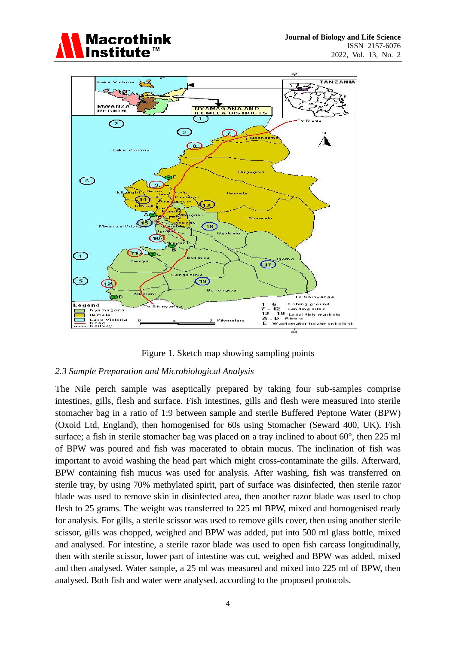



Figure 1. Sketch map showing sampling points

# *2.3 Sample Preparation and Microbiological Analysis*

The Nile perch sample was aseptically prepared by taking four sub-samples comprise intestines, gills, flesh and surface. Fish intestines, gills and flesh were measured into sterile stomacher bag in a ratio of 1:9 between sample and sterile Buffered Peptone Water (BPW) (Oxoid Ltd, England), then homogenised for 60s using Stomacher (Seward 400, UK). Fish surface; a fish in sterile stomacher bag was placed on a tray inclined to about 60 $^{\circ}$ , then 225 ml of BPW was poured and fish was macerated to obtain mucus. The inclination of fish was important to avoid washing the head part which might cross-contaminate the gills. Afterward, BPW containing fish mucus was used for analysis. After washing, fish was transferred on sterile tray, by using 70% methylated spirit, part of surface was disinfected, then sterile razor blade was used to remove skin in disinfected area, then another razor blade was used to chop flesh to 25 grams. The weight was transferred to 225 ml BPW, mixed and homogenised ready for analysis. For gills, a sterile scissor was used to remove gills cover, then using another sterile scissor, gills was chopped, weighed and BPW was added, put into 500 ml glass bottle, mixed and analysed. For intestine, a sterile razor blade was used to open fish carcass longitudinally, then with sterile scissor, lower part of intestine was cut, weighed and BPW was added, mixed and then analysed. Water sample, a 25 ml was measured and mixed into 225 ml of BPW, then analysed. Both fish and water were analysed. according to the proposed protocols.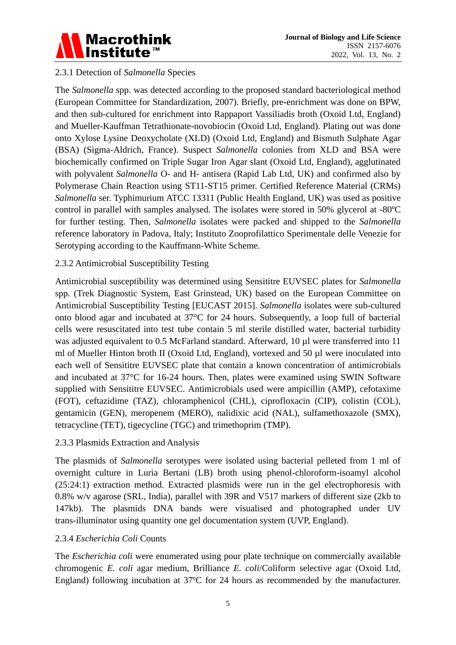

# 2.3.1 Detection of *Salmonella* Species

The *Salmonella* spp. was detected according to the proposed standard bacteriological method (European Committee for Standardization, 2007). Briefly, pre-enrichment was done on BPW, and then sub-cultured for enrichment into Rappaport Vassiliadis broth (Oxoid Ltd, England) and Mueller-Kauffman Tetrathionate-novobiocin (Oxoid Ltd, England). Plating out was done onto Xylose Lysine Deoxycholate (XLD) (Oxoid Ltd, England) and Bismuth Sulphate Agar (BSA) (Sigma-Aldrich, France). Suspect *Salmonella* colonies from XLD and BSA were biochemically confirmed on Triple Sugar Iron Agar slant (Oxoid Ltd, England), agglutinated with polyvalent *Salmonella* O- and H- antisera (Rapid Lab Ltd, UK) and confirmed also by Polymerase Chain Reaction using ST11-ST15 primer. Certified Reference Material (CRMs) *Salmonella* ser. Typhimurium ATCC 13311 (Public Health England, UK) was used as positive control in parallel with samples analysed. The isolates were stored in 50% glycerol at -80ºC for further testing. Then, *Salmonella* isolates were packed and shipped to the *Salmonella* reference laboratory in Padova, Italy; Instituto Zooprofilattico Sperimentale delle Venezie for Serotyping according to the Kauffmann-White Scheme.

# 2.3.2 Antimicrobial Susceptibility Testing

Antimicrobial susceptibility was determined using Sensititre EUVSEC plates for *Salmonella* spp. (Trek Diagnostic System, East Grinstead, UK) based on the European Committee on Antimicrobial Susceptibility Testing [EUCAST 2015]. *Salmonella* isolates were sub-cultured onto blood agar and incubated at 37°C for 24 hours. Subsequently, a loop full of bacterial cells were resuscitated into test tube contain 5 ml sterile distilled water, bacterial turbidity was adjusted equivalent to 0.5 McFarland standard. Afterward, 10 ul were transferred into 11 ml of Mueller Hinton broth II (Oxoid Ltd, England), vortexed and 50 µl were inoculated into each well of Sensititre EUVSEC plate that contain a known concentration of antimicrobials and incubated at 37°C for 16-24 hours. Then, plates were examined using SWIN Software supplied with Sensititre EUVSEC. Antimicrobials used were ampicillin (AMP), cefotaxime (FOT), ceftazidime (TAZ), chloramphenicol (CHL), ciprofloxacin (CIP), colistin (COL), gentamicin (GEN), meropenem (MERO), nalidixic acid (NAL), sulfamethoxazole (SMX), tetracycline (TET), tigecycline (TGC) and trimethoprim (TMP).

# 2.3.3 Plasmids Extraction and Analysis

The plasmids of *Salmonella* serotypes were isolated using bacterial pelleted from 1 ml of overnight culture in Luria Bertani (LB) broth using phenol-chloroform-isoamyl alcohol (25:24:1) extraction method. Extracted plasmids were run in the gel electrophoresis with 0.8% w/v agarose (SRL, India), parallel with 39R and V517 markers of different size (2kb to 147kb). The plasmids DNA bands were visualised and photographed under UV trans-illuminator using quantity one gel documentation system (UVP, England).

# 2.3.4 *Escherichia Coli* Counts

The *Escherichia coli* were enumerated using pour plate technique on commercially available chromogenic *E. coli* agar medium, Brilliance *E. coli*/Coliform selective agar (Oxoid Ltd, England) following incubation at 37ºC for 24 hours as recommended by the manufacturer.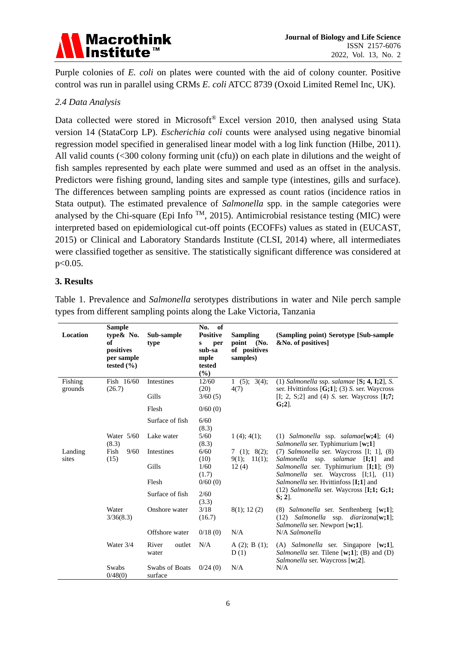

Purple colonies of *E. coli* on plates were counted with the aid of colony counter. Positive control was run in parallel using CRMs *E. coli* ATCC 8739 (Oxoid Limited Remel Inc, UK).

### *2.4 Data Analysis*

Data collected were stored in Microsoft<sup>®</sup> Excel version 2010, then analysed using Stata version 14 (StataCorp LP). *Escherichia coli* counts were analysed using negative binomial regression model specified in generalised linear model with a log link function (Hilbe, 2011). All valid counts (<300 colony forming unit (cfu)) on each plate in dilutions and the weight of fish samples represented by each plate were summed and used as an offset in the analysis. Predictors were fishing ground, landing sites and sample type (intestines, gills and surface). The differences between sampling points are expressed as count ratios (incidence ratios in Stata output). The estimated prevalence of *Salmonella* spp. in the sample categories were analysed by the Chi-square (Epi Info  $^{TM}$ , 2015). Antimicrobial resistance testing (MIC) were interpreted based on epidemiological cut-off points (ECOFFs) values as stated in (EUCAST, 2015) or Clinical and Laboratory Standards Institute (CLSI, 2014) where, all intermediates were classified together as sensitive. The statistically significant difference was considered at p<0.05.

#### **3. Results**

| Location           | <b>Sample</b><br>type& No.<br>of<br>positives<br>per sample<br>tested $(\% )$ | Sub-sample<br>type        | No. of<br><b>Positive</b><br>per<br>S<br>sub-sa<br>mple<br>tested<br>$(\%)$ | <b>Sampling</b><br>point<br>(No.<br>of positives<br>samples) | (Sampling point) Serotype [Sub-sample<br>&No. of positives]                                                                       |
|--------------------|-------------------------------------------------------------------------------|---------------------------|-----------------------------------------------------------------------------|--------------------------------------------------------------|-----------------------------------------------------------------------------------------------------------------------------------|
| Fishing<br>grounds | Fish 16/60<br>(26.7)                                                          | Intestines                | 12/60<br>(20)                                                               | 1 $(5)$ ; 3(4);<br>4(7)                                      | $(1)$ Salmonella ssp. salamae [S; 4, I;2], S.<br>ser. Hvittinfoss $[G;1]$ ; (3) S. ser. Waycross                                  |
|                    |                                                                               | Gills                     | 3/60(5)                                                                     |                                                              | $[I; 2, S;2]$ and $(4)$ S. ser. Waycross $[I;7;$                                                                                  |
|                    |                                                                               | Flesh                     | 0/60(0)                                                                     |                                                              | $G(2)$ .                                                                                                                          |
|                    |                                                                               | Surface of fish           | 6/60<br>(8.3)                                                               |                                                              |                                                                                                                                   |
|                    | Water $5/60$<br>(8.3)                                                         | Lake water                | 5/60<br>(8.3)                                                               | 1(4); 4(1);                                                  | (1) Salmonella ssp. salamae[w;4];<br>(4)<br>Salmonella ser. Typhimurium [w;1]                                                     |
| Landing<br>sites   | Fish<br>9/60<br>(15)                                                          | Intestines                | 6/60<br>(10)                                                                | 7(1); 8(2);<br>9(1); 11(1);                                  | (7) Salmonella ser. Waycross [I; 1], (8)<br>Salmonella ssp. salamae<br>[I;1]<br>and                                               |
|                    |                                                                               | Gills                     | 1/60<br>(1.7)                                                               | 12(4)                                                        | Salmonella ser. Typhimurium [I;1]; (9)<br>Salmonella ser. Waycross [I;1], (11)                                                    |
|                    |                                                                               | Flesh                     | 0/60(0)                                                                     |                                                              | Salmonella ser. Hvittinfoss [I;1] and<br>$(12)$ <i>Salmonella</i> ser. Waycross [ <b>I;1; G;1;</b>                                |
|                    | Surface of fish<br>2/60<br>$S: 2$ ].<br>(3.3)                                 |                           |                                                                             |                                                              |                                                                                                                                   |
|                    | Water<br>3/36(8.3)                                                            | Onshore water             | 3/18<br>(16.7)                                                              | 8(1); 12(2)                                                  | $(8)$ <i>Salmonella</i> ser. Senftenberg [w;1];<br>$(12)$ Salmonella ssp. diarizona[w;1];<br>Salmonella ser. Newport [w;1].       |
|                    |                                                                               | Offshore water            | 0/18(0)                                                                     | N/A                                                          | N/A Salmonella                                                                                                                    |
|                    | Water 3/4                                                                     | River<br>outlet<br>water  | N/A                                                                         | A $(2)$ ; B $(1)$ ;<br>D(1)                                  | $(A)$ <i>Salmonella</i> ser. Singapore [w;1],<br>Salmonella ser. Tilene [ $w;1$ ]; (B) and (D)<br>Salmonella ser. Waycross [w;2]. |
|                    | Swabs<br>0/48(0)                                                              | Swabs of Boats<br>surface | 0/24(0)                                                                     | N/A                                                          | N/A                                                                                                                               |

Table 1. Prevalence and *Salmonella* serotypes distributions in water and Nile perch sample types from different sampling points along the Lake Victoria, Tanzania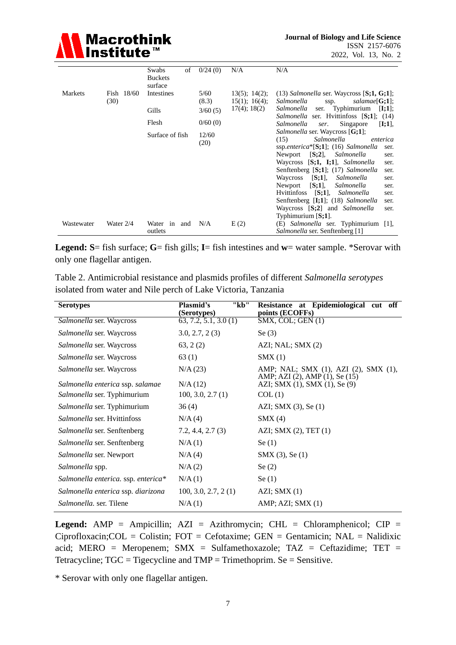

|            |                      | Swabs<br>of<br><b>Buckets</b>  | 0/24(0)                  | N/A                                                       | N/A                                                                                                                                                                                                                                                                                                                                                                                                                                                                                                 |
|------------|----------------------|--------------------------------|--------------------------|-----------------------------------------------------------|-----------------------------------------------------------------------------------------------------------------------------------------------------------------------------------------------------------------------------------------------------------------------------------------------------------------------------------------------------------------------------------------------------------------------------------------------------------------------------------------------------|
| Markets    | Fish $18/60$<br>(30) | surface<br>Intestines<br>Gills | 5/60<br>(8.3)<br>3/60(5) | $13(5)$ ; $14(2)$ ;<br>15(1); 16(4);<br>$17(4)$ ; $18(2)$ | $(13)$ <i>Salmonella</i> ser. Waycross $[S;1, G;1]$ ;<br>Salmonella<br>salamae[G;1];<br>ssp.<br><i>Salmonella</i> ser. Typhimurium<br>[I;1];                                                                                                                                                                                                                                                                                                                                                        |
|            |                      | Flesh                          | 0/60(0)                  |                                                           | <i>Salmonella</i> ser. Hvittinfoss [S;1]; (14)<br>Singapore<br>Salmonella<br>[I;1],<br>ser.                                                                                                                                                                                                                                                                                                                                                                                                         |
|            |                      | Surface of fish                | 12/60<br>(20)            |                                                           | <i>Salmonella</i> ser. Waycross [G;1];<br>(15)<br>Salmonella<br>enterica<br>ssp.enterica* $[S;1]$ ; (16) Salmonella<br>ser.<br>$[S;2]$ , Salmonella<br>Newport<br>ser.<br>Waycross [S;1, I;1], Salmonella<br>ser.<br>Senftenberg [S;1]; (17) Salmonella<br>ser.<br>$[S;1]$ , Salmonella<br>Waycross<br>ser.<br>$[S;1]$ ,<br>Newport<br>Salmonella<br>ser.<br>[S;1], Salmonella<br><b>Hyittinfoss</b><br>ser.<br>Senftenberg [I;1]; (18) Salmonella<br>ser.<br>Waycross [S;2] and Salmonella<br>ser. |
| Wastewater | Water $2/4$          | Water in and<br>outlets        | N/A                      | E(2)                                                      | Typhimurium $[S;1]$ .<br>(E) Salmonella ser. Typhimurium [1],<br><i>Salmonella</i> ser. Senftenberg [1]                                                                                                                                                                                                                                                                                                                                                                                             |

**Legend: S**= fish surface; **G**= fish gills; **I**= fish intestines and **w**= water sample. \*Serovar with only one flagellar antigen.

Table 2. Antimicrobial resistance and plasmids profiles of different *Salmonella serotypes*  isolated from water and Nile perch of Lake Victoria, Tanzania

| <b>Serotypes</b>                    | "kb"<br>Plasmid's<br>(Serotypes) | Resistance at Epidemiological cut off<br>points (ECOFFs)        |
|-------------------------------------|----------------------------------|-----------------------------------------------------------------|
| Salmonella ser. Waycross            | 63, 7.2, 5.1, 3.0(1)             | $SMX$ , COL; GEN $(1)$                                          |
| <i>Salmonella</i> ser. Waycross     | 3.0, 2.7, 2(3)                   | Se $(3)$                                                        |
| Salmonella ser. Waycross            | 63, 2(2)                         | AZI; NAL; SMX (2)                                               |
| Salmonella ser. Waycross            | 63(1)                            | SMX(1)                                                          |
| Salmonella ser. Waycross            | N/A (23)                         | AMP; NAL; SMX (1), AZI (2), SMX (1),                            |
| Salmonella enterica ssp. salamae    | N/A(12)                          | AMP; AZI (2), AMP (1), Se (15)<br>AZI; SMX (1), SMX (1), Se (9) |
| <i>Salmonella</i> ser. Typhimurium  | 100, 3.0, 2.7(1)                 | COL(1)                                                          |
| Salmonella ser. Typhimurium         | 36(4)                            | AZI; SMX $(3)$ , Se $(1)$                                       |
| Salmonella ser. Hvittinfoss         | N/A(4)                           | SMX(4)                                                          |
| Salmonella ser. Senftenberg         | 7.2, 4.4, 2.7(3)                 | AZI; SMX $(2)$ , TET $(1)$                                      |
| Salmonella ser. Senftenberg         | N/A(1)                           | Se(1)                                                           |
| Salmonella ser. Newport             | N/A(4)                           | $SMX(3)$ , Se $(1)$                                             |
| Salmonella spp.                     | N/A(2)                           | Se $(2)$                                                        |
| Salmonella enterica. ssp. enterica* | N/A(1)                           | Se(1)                                                           |
| Salmonella enterica ssp. diarizona  | 100, 3.0, 2.7, 2(1)              | AZI; SMX(1)                                                     |
| <i>Salmonella, ser. Tilene</i>      | N/A(1)                           | AMP; AZI; SMX (1)                                               |

**Legend:** AMP = Ampicillin; AZI = Azithromycin; CHL = Chloramphenicol; CIP =  $Ciprofloxacin; COL = Colistin; FOT = Cefotaxime; GEN = Gentamicin; NAL = Nalidixic$ acid; MERO = Meropenem; SMX = Sulfamethoxazole; TAZ = Ceftazidime; TET = Tetracycline;  $TGC = Tigecyclic$  and  $TMP = Trimethoprim.$  Se = Sensitive.

\* Serovar with only one flagellar antigen.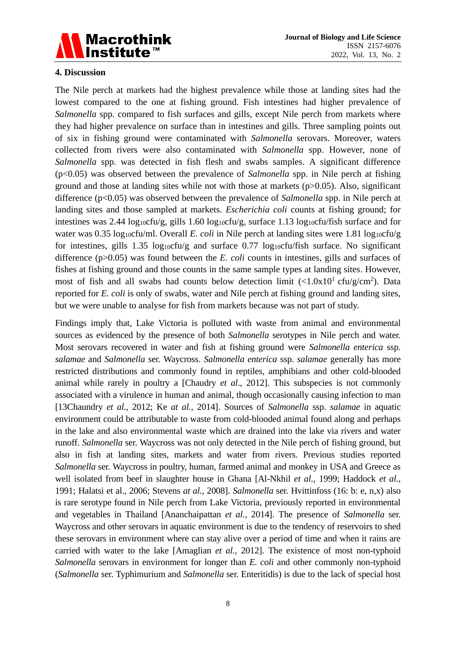

### **4. Discussion**

The Nile perch at markets had the highest prevalence while those at landing sites had the lowest compared to the one at fishing ground. Fish intestines had higher prevalence of *Salmonella* spp. compared to fish surfaces and gills, except Nile perch from markets where they had higher prevalence on surface than in intestines and gills. Three sampling points out of six in fishing ground were contaminated with *Salmonella* serovars. Moreover, waters collected from rivers were also contaminated with *Salmonella* spp. However, none of *Salmonella* spp. was detected in fish flesh and swabs samples. A significant difference (p<0.05) was observed between the prevalence of *Salmonella* spp. in Nile perch at fishing ground and those at landing sites while not with those at markets ( $p > 0.05$ ). Also, significant difference (p<0.05) was observed between the prevalence of *Salmonella* spp. in Nile perch at landing sites and those sampled at markets. *Escherichia coli* counts at fishing ground; for intestines was 2.44 log<sub>10</sub>cfu/g, gills 1.60 log<sub>10</sub>cfu/g, surface 1.13 log<sub>10</sub>cfu/fish surface and for water was 0.35 log<sub>10</sub>cfu/ml. Overall *E. coli* in Nile perch at landing sites were 1.81 log<sub>10</sub>cfu/g for intestines, gills 1.35 log<sub>10</sub>cfu/g and surface  $0.77$  log<sub>10</sub>cfu/fish surface. No significant difference (p>0.05) was found between the *E. coli* counts in intestines, gills and surfaces of fishes at fishing ground and those counts in the same sample types at landing sites. However, most of fish and all swabs had counts below detection limit  $\left(\frac{1.0x}{10}\right)^1$  cfu/g/cm<sup>2</sup>). Data reported for *E. coli* is only of swabs, water and Nile perch at fishing ground and landing sites, but we were unable to analyse for fish from markets because was not part of study.

Findings imply that, Lake Victoria is polluted with waste from animal and environmental sources as evidenced by the presence of both *Salmonella* serotypes in Nile perch and water. Most serovars recovered in water and fish at fishing ground were *Salmonella enterica* ssp. *salamae* and *Salmonella* ser. Waycross. *Salmonella enterica* ssp. *salamae* generally has more restricted distributions and commonly found in reptiles, amphibians and other cold-blooded animal while rarely in poultry a [Chaudry *et al*., 2012]. This subspecies is not commonly associated with a virulence in human and animal, though occasionally causing infection to man [13Chaundry *et al.,* 2012; Ke *at al.,* 2014]. Sources of *Salmonella* ssp. *salamae* in aquatic environment could be attributable to waste from cold-blooded animal found along and perhaps in the lake and also environmental waste which are drained into the lake via rivers and water runoff. *Salmonella* ser. Waycross was not only detected in the Nile perch of fishing ground, but also in fish at landing sites, markets and water from rivers. Previous studies reported *Salmonella* ser. Waycross in poultry, human, farmed animal and monkey in USA and Greece as well isolated from beef in slaughter house in Ghana [Al-Nkhil *et al.,* 1999; Haddock *et al.,* 1991; Halatsi et al.*,* 2006; Stevens *at al.,* 2008]. *Salmonella* ser. Hvittinfoss (16: b: e, n,x) also is rare serotype found in Nile perch from Lake Victoria, previously reported in environmental and vegetables in Thailand [Ananchaipattan *et al.,* 2014]. The presence of *Salmonella* ser. Waycross and other serovars in aquatic environment is due to the tendency of reservoirs to shed these serovars in environment where can stay alive over a period of time and when it rains are carried with water to the lake [Amaglian *et al.,* 2012]. The existence of most non-typhoid *Salmonella* serovars in environment for longer than *E. coli* and other commonly non-typhoid (*Salmonella* ser. Typhimurium and *Salmonella* ser. Enteritidis) is due to the lack of special host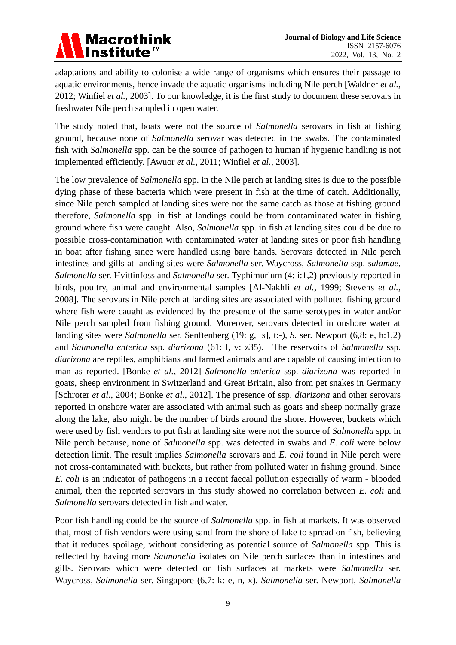

adaptations and ability to colonise a wide range of organisms which ensures their passage to aquatic environments, hence invade the aquatic organisms including Nile perch [Waldner *et al.,* 2012; Winfiel *et al.,* 2003]. To our knowledge, it is the first study to document these serovars in freshwater Nile perch sampled in open water.

The study noted that, boats were not the source of *Salmonella* serovars in fish at fishing ground, because none of *Salmonella* serovar was detected in the swabs. The contaminated fish with *Salmonella* spp. can be the source of pathogen to human if hygienic handling is not implemented efficiently. [Awuor *et al.,* 2011; Winfiel *et al.,* 2003].

The low prevalence of *Salmonella* spp. in the Nile perch at landing sites is due to the possible dying phase of these bacteria which were present in fish at the time of catch. Additionally, since Nile perch sampled at landing sites were not the same catch as those at fishing ground therefore, *Salmonella* spp. in fish at landings could be from contaminated water in fishing ground where fish were caught. Also, *Salmonella* spp. in fish at landing sites could be due to possible cross-contamination with contaminated water at landing sites or poor fish handling in boat after fishing since were handled using bare hands. Serovars detected in Nile perch intestines and gills at landing sites were *Salmonella* ser. Waycross, *Salmonella* ssp. *salamae*, *Salmonella* ser. Hvittinfoss and *Salmonella* ser. Typhimurium (4: i:1,2) previously reported in birds, poultry, animal and environmental samples [Al-Nakhli *et al.,* 1999; Stevens *et al.,* 2008]. The serovars in Nile perch at landing sites are associated with polluted fishing ground where fish were caught as evidenced by the presence of the same serotypes in water and/or Nile perch sampled from fishing ground. Moreover, serovars detected in onshore water at landing sites were *Salmonella* ser. Senftenberg (19: g, [s], t:-), *S.* ser. Newport (6,8: e, h:1,2) and *Salmonella enterica* ssp. *diarizona* (61: l, v: z35). The reservoirs of *Salmonella* ssp. *diarizona* are reptiles, amphibians and farmed animals and are capable of causing infection to man as reported. [Bonke *et al.,* 2012] *Salmonella enterica* ssp. *diarizona* was reported in goats, sheep environment in Switzerland and Great Britain, also from pet snakes in Germany [Schroter *et al.,* 2004; Bonke *et al.,* 2012]. The presence of ssp. *diarizona* and other serovars reported in onshore water are associated with animal such as goats and sheep normally graze along the lake, also might be the number of birds around the shore. However, buckets which were used by fish vendors to put fish at landing site were not the source of *Salmonella* spp. in Nile perch because, none of *Salmonella* spp. was detected in swabs and *E. coli* were below detection limit. The result implies *Salmonella* serovars and *E. coli* found in Nile perch were not cross-contaminated with buckets, but rather from polluted water in fishing ground. Since *E. coli* is an indicator of pathogens in a recent faecal pollution especially of warm - blooded animal, then the reported serovars in this study showed no correlation between *E. coli* and *Salmonella* serovars detected in fish and water.

Poor fish handling could be the source of *Salmonella* spp. in fish at markets. It was observed that, most of fish vendors were using sand from the shore of lake to spread on fish, believing that it reduces spoilage, without considering as potential source of *Salmonella* spp. This is reflected by having more *Salmonella* isolates on Nile perch surfaces than in intestines and gills. Serovars which were detected on fish surfaces at markets were *Salmonella* ser. Waycross, *Salmonella* ser. Singapore (6,7: k: e, n, x), *Salmonella* ser. Newport, *Salmonella*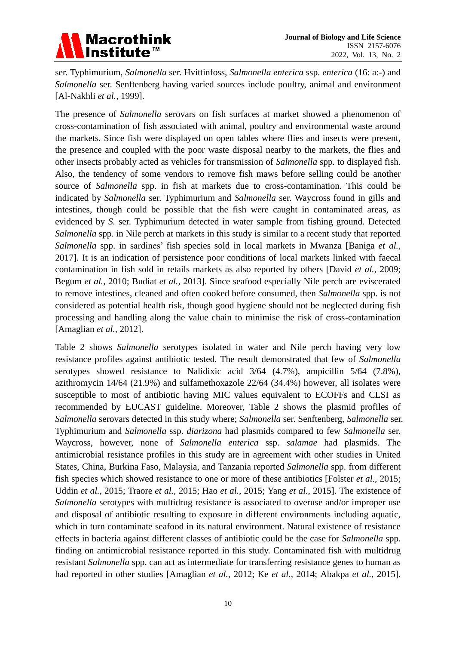# Macrothink<br>Institute™

ser. Typhimurium, *Salmonella* ser. Hvittinfoss, *Salmonella enterica* ssp. *enterica* (16: a:-) and *Salmonella* ser. Senftenberg having varied sources include poultry, animal and environment [Al-Nakhli *et al.,* 1999].

The presence of *Salmonella* serovars on fish surfaces at market showed a phenomenon of cross-contamination of fish associated with animal, poultry and environmental waste around the markets. Since fish were displayed on open tables where flies and insects were present, the presence and coupled with the poor waste disposal nearby to the markets, the flies and other insects probably acted as vehicles for transmission of *Salmonella* spp. to displayed fish. Also, the tendency of some vendors to remove fish maws before selling could be another source of *Salmonella* spp. in fish at markets due to cross-contamination. This could be indicated by *Salmonella* ser. Typhimurium and *Salmonella* ser. Waycross found in gills and intestines, though could be possible that the fish were caught in contaminated areas, as evidenced by *S.* ser. Typhimurium detected in water sample from fishing ground. Detected *Salmonella* spp. in Nile perch at markets in this study is similar to a recent study that reported *Salmonella* spp. in sardines' fish species sold in local markets in Mwanza [Baniga *et al.,* 2017]. It is an indication of persistence poor conditions of local markets linked with faecal contamination in fish sold in retails markets as also reported by others [David *et al.,* 2009; Begum *et al.,* 2010; Budiat *et al.,* 2013]. Since seafood especially Nile perch are eviscerated to remove intestines, cleaned and often cooked before consumed, then *Salmonella* spp. is not considered as potential health risk, though good hygiene should not be neglected during fish processing and handling along the value chain to minimise the risk of cross-contamination [Amaglian *et al.,* 2012].

Table 2 shows *Salmonella* serotypes isolated in water and Nile perch having very low resistance profiles against antibiotic tested. The result demonstrated that few of *Salmonella* serotypes showed resistance to Nalidixic acid 3/64 (4.7%), ampicillin 5/64 (7.8%), azithromycin 14/64 (21.9%) and sulfamethoxazole 22/64 (34.4%) however, all isolates were susceptible to most of antibiotic having MIC values equivalent to ECOFFs and CLSI as recommended by EUCAST guideline. Moreover, Table 2 shows the plasmid profiles of *Salmonella* serovars detected in this study where; *Salmonella* ser. Senftenberg, *Salmonella* ser. Typhimurium and *Salmonella* ssp. *diarizona* had plasmids compared to few *Salmonella* ser. Waycross, however, none of *Salmonella enterica* ssp. *salamae* had plasmids. The antimicrobial resistance profiles in this study are in agreement with other studies in United States, China, Burkina Faso, Malaysia, and Tanzania reported *Salmonella* spp. from different fish species which showed resistance to one or more of these antibiotics [Folster *et al.,* 2015; Uddin *et al.,* 2015; Traore *et al.,* 2015; Hao *et al.,* 2015; Yang *et al.,* 2015]. The existence of *Salmonella* serotypes with multidrug resistance is associated to overuse and/or improper use and disposal of antibiotic resulting to exposure in different environments including aquatic, which in turn contaminate seafood in its natural environment. Natural existence of resistance effects in bacteria against different classes of antibiotic could be the case for *Salmonella* spp. finding on antimicrobial resistance reported in this study. Contaminated fish with multidrug resistant *Salmonella* spp. can act as intermediate for transferring resistance genes to human as had reported in other studies [Amaglian *et al.,* 2012; Ke *et al.,* 2014; Abakpa *et al.,* 2015].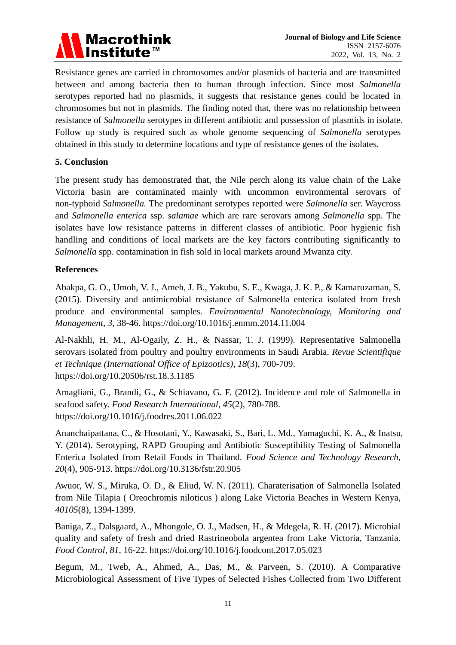

Resistance genes are carried in chromosomes and/or plasmids of bacteria and are transmitted between and among bacteria then to human through infection. Since most *Salmonella* serotypes reported had no plasmids, it suggests that resistance genes could be located in chromosomes but not in plasmids. The finding noted that, there was no relationship between resistance of *Salmonella* serotypes in different antibiotic and possession of plasmids in isolate. Follow up study is required such as whole genome sequencing of *Salmonella* serotypes obtained in this study to determine locations and type of resistance genes of the isolates.

### **5. Conclusion**

The present study has demonstrated that, the Nile perch along its value chain of the Lake Victoria basin are contaminated mainly with uncommon environmental serovars of non-typhoid *Salmonella.* The predominant serotypes reported were *Salmonella* ser. Waycross and *Salmonella enterica* ssp. *salamae* which are rare serovars among *Salmonella* spp. The isolates have low resistance patterns in different classes of antibiotic. Poor hygienic fish handling and conditions of local markets are the key factors contributing significantly to *Salmonella* spp. contamination in fish sold in local markets around Mwanza city.

#### **References**

Abakpa, G. O., Umoh, V. J., Ameh, J. B., Yakubu, S. E., Kwaga, J. K. P., & Kamaruzaman, S. (2015). Diversity and antimicrobial resistance of Salmonella enterica isolated from fresh produce and environmental samples. *Environmental Nanotechnology, Monitoring and Management*, *3*, 38-46. https://doi.org/10.1016/j.enmm.2014.11.004

Al-Nakhli, H. M., Al-Ogaily, Z. H., & Nassar, T. J. (1999). Representative Salmonella serovars isolated from poultry and poultry environments in Saudi Arabia. *Revue Scientifique et Technique (International Office of Epizootics)*, *18*(3), 700-709. https://doi.org/10.20506/rst.18.3.1185

Amagliani, G., Brandi, G., & Schiavano, G. F. (2012). Incidence and role of Salmonella in seafood safety. *Food Research International*, *45*(2), 780-788. https://doi.org/10.1016/j.foodres.2011.06.022

Ananchaipattana, C., & Hosotani, Y., Kawasaki, S., Bari, L. Md., Yamaguchi, K. A., & Inatsu, Y. (2014). Serotyping, RAPD Grouping and Antibiotic Susceptibility Testing of Salmonella Enterica Isolated from Retail Foods in Thailand. *Food Science and Technology Research*, *20*(4), 905-913. https://doi.org/10.3136/fstr.20.905

Awuor, W. S., Miruka, O. D., & Eliud, W. N. (2011). Charaterisation of Salmonella Isolated from Nile Tilapia ( Oreochromis niloticus ) along Lake Victoria Beaches in Western Kenya, *40105*(8), 1394-1399.

Baniga, Z., Dalsgaard, A., Mhongole, O. J., Madsen, H., & Mdegela, R. H. (2017). Microbial quality and safety of fresh and dried Rastrineobola argentea from Lake Victoria, Tanzania. *Food Control*, *81*, 16-22. https://doi.org/10.1016/j.foodcont.2017.05.023

Begum, M., Tweb, A., Ahmed, A., Das, M., & Parveen, S. (2010). A Comparative Microbiological Assessment of Five Types of Selected Fishes Collected from Two Different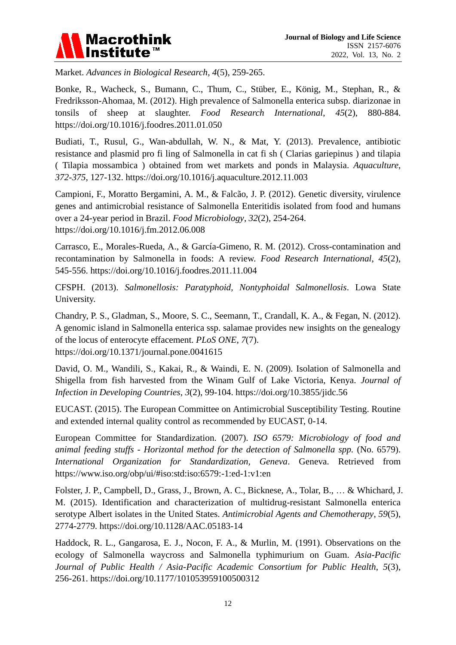

Market. *Advances in Biological Research*, *4*(5), 259-265.

Bonke, R., Wacheck, S., Bumann, C., Thum, C., Stüber, E., König, M., Stephan, R., & Fredriksson-Ahomaa, M. (2012). High prevalence of Salmonella enterica subsp. diarizonae in tonsils of sheep at slaughter. *Food Research International*, *45*(2), 880-884. https://doi.org/10.1016/j.foodres.2011.01.050

Budiati, T., Rusul, G., Wan-abdullah, W. N., & Mat, Y. (2013). Prevalence, antibiotic resistance and plasmid pro fi ling of Salmonella in cat fi sh ( Clarias gariepinus ) and tilapia ( Tilapia mossambica ) obtained from wet markets and ponds in Malaysia. *Aquaculture*, *372*-*375*, 127-132. https://doi.org/10.1016/j.aquaculture.2012.11.003

Campioni, F., Moratto Bergamini, A. M., & Falcão, J. P. (2012). Genetic diversity, virulence genes and antimicrobial resistance of Salmonella Enteritidis isolated from food and humans over a 24-year period in Brazil. *Food Microbiology*, *32*(2), 254-264. https://doi.org/10.1016/j.fm.2012.06.008

Carrasco, E., Morales-Rueda, A., & García-Gimeno, R. M. (2012). Cross-contamination and recontamination by Salmonella in foods: A review. *Food Research International*, *45*(2), 545-556. https://doi.org/10.1016/j.foodres.2011.11.004

CFSPH. (2013). *Salmonellosis: Paratyphoid, Nontyphoidal Salmonellosis*. Lowa State University.

Chandry, P. S., Gladman, S., Moore, S. C., Seemann, T., Crandall, K. A., & Fegan, N. (2012). A genomic island in Salmonella enterica ssp. salamae provides new insights on the genealogy of the locus of enterocyte effacement. *PLoS ONE*, *7*(7). https://doi.org/10.1371/journal.pone.0041615

David, O. M., Wandili, S., Kakai, R., & Waindi, E. N. (2009). Isolation of Salmonella and Shigella from fish harvested from the Winam Gulf of Lake Victoria, Kenya. *Journal of Infection in Developing Countries*, *3*(2), 99-104. https://doi.org/10.3855/jidc.56

EUCAST. (2015). The European Committee on Antimicrobial Susceptibility Testing. Routine and extended internal quality control as recommended by EUCAST, 0-14.

European Committee for Standardization. (2007). *ISO 6579: Microbiology of food and animal feeding stuffs - Horizontal method for the detection of Salmonella spp.* (No. 6579). *International Organization for Standardization, Geneva*. Geneva. Retrieved from https://www.iso.org/obp/ui/#iso:std:iso:6579:-1:ed-1:v1:en

Folster, J. P., Campbell, D., Grass, J., Brown, A. C., Bicknese, A., Tolar, B., … & Whichard, J. M. (2015). Identification and characterization of multidrug-resistant Salmonella enterica serotype Albert isolates in the United States. *Antimicrobial Agents and Chemotherapy*, *59*(5), 2774-2779. https://doi.org/10.1128/AAC.05183-14

Haddock, R. L., Gangarosa, E. J., Nocon, F. A., & Murlin, M. (1991). Observations on the ecology of Salmonella waycross and Salmonella typhimurium on Guam. *Asia-Pacific Journal of Public Health / Asia-Pacific Academic Consortium for Public Health*, *5*(3), 256-261. https://doi.org/10.1177/101053959100500312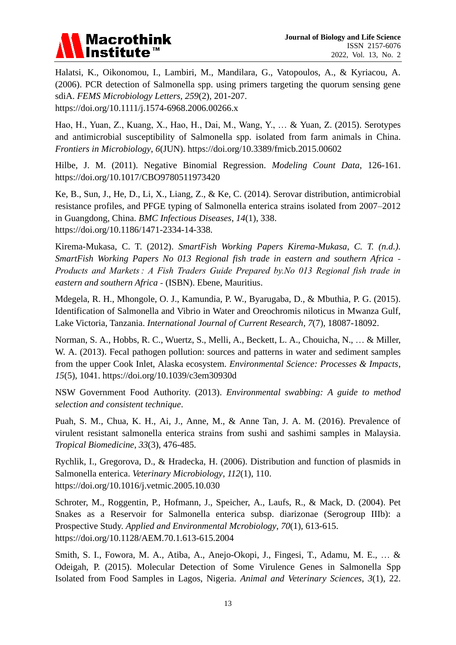

Halatsi, K., Oikonomou, I., Lambiri, M., Mandilara, G., Vatopoulos, A., & Kyriacou, A. (2006). PCR detection of Salmonella spp. using primers targeting the quorum sensing gene sdiA. *FEMS Microbiology Letters*, *259*(2), 201-207. https://doi.org/10.1111/j.1574-6968.2006.00266.x

Hao, H., Yuan, Z., Kuang, X., Hao, H., Dai, M., Wang, Y., … & Yuan, Z. (2015). Serotypes and antimicrobial susceptibility of Salmonella spp. isolated from farm animals in China. *Frontiers in Microbiology*, *6*(JUN). https://doi.org/10.3389/fmicb.2015.00602

Hilbe, J. M. (2011). Negative Binomial Regression. *Modeling Count Data*, 126-161. https://doi.org/10.1017/CBO9780511973420

Ke, B., Sun, J., He, D., Li, X., Liang, Z., & Ke, C. (2014). Serovar distribution, antimicrobial resistance profiles, and PFGE typing of Salmonella enterica strains isolated from 2007–2012 in Guangdong, China. *BMC Infectious Diseases*, *14*(1), 338. https://doi.org/10.1186/1471-2334-14-338.

Kirema-Mukasa, C. T. (2012). *SmartFish Working Papers Kirema-Mukasa, C. T. (n.d.). SmartFish Working Papers No 013 Regional fish trade in eastern and southern Africa ‐ Products and Markets : A Fish Traders Guide Prepared by.No 013 Regional fish trade in eastern and southern Africa ‐* (ISBN). Ebene, Mauritius.

Mdegela, R. H., Mhongole, O. J., Kamundia, P. W., Byarugaba, D., & Mbuthia, P. G. (2015). Identification of Salmonella and Vibrio in Water and Oreochromis niloticus in Mwanza Gulf, Lake Victoria, Tanzania. *International Journal of Current Research*, *7*(7), 18087-18092.

Norman, S. A., Hobbs, R. C., Wuertz, S., Melli, A., Beckett, L. A., Chouicha, N., … & Miller, W. A. (2013). Fecal pathogen pollution: sources and patterns in water and sediment samples from the upper Cook Inlet, Alaska ecosystem. *Environmental Science: Processes & Impacts*, *15*(5), 1041. https://doi.org/10.1039/c3em30930d

NSW Government Food Authority. (2013). *Environmental swabbing: A guide to method selection and consistent technique*.

Puah, S. M., Chua, K. H., Ai, J., Anne, M., & Anne Tan, J. A. M. (2016). Prevalence of virulent resistant salmonella enterica strains from sushi and sashimi samples in Malaysia. *Tropical Biomedicine*, *33*(3), 476-485.

Rychlik, I., Gregorova, D., & Hradecka, H. (2006). Distribution and function of plasmids in Salmonella enterica. *Veterinary Microbiology*, *112*(1), 110. https://doi.org/10.1016/j.vetmic.2005.10.030

Schroter, M., Roggentin, P., Hofmann, J., Speicher, A., Laufs, R., & Mack, D. (2004). Pet Snakes as a Reservoir for Salmonella enterica subsp. diarizonae (Serogroup IIIb): a Prospective Study. *Applied and Environmental Mcrobiology*, *70*(1), 613-615. https://doi.org/10.1128/AEM.70.1.613-615.2004

Smith, S. I., Fowora, M. A., Atiba, A., Anejo-Okopi, J., Fingesi, T., Adamu, M. E., … & Odeigah, P. (2015). Molecular Detection of Some Virulence Genes in Salmonella Spp Isolated from Food Samples in Lagos, Nigeria. *Animal and Veterinary Sciences*, *3*(1), 22.